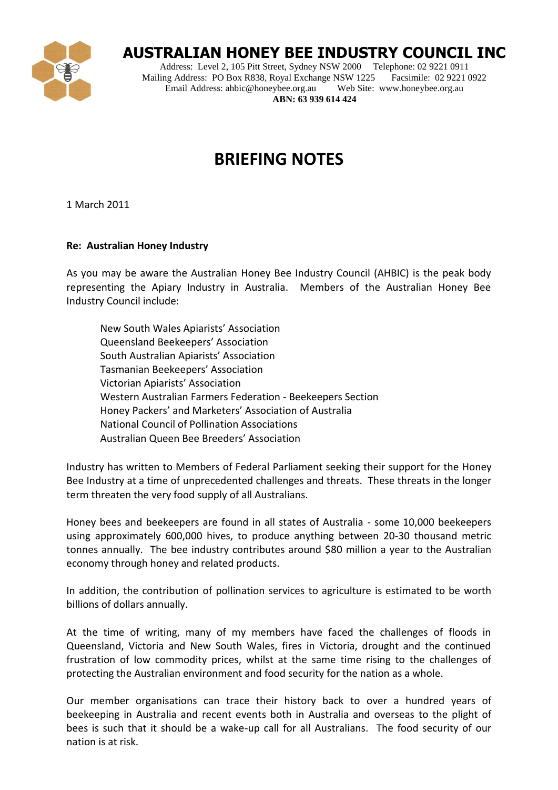

## **AUSTRALIAN HONEY BEE INDUSTRY COUNCIL INC**

Address: Level 2, 105 Pitt Street, Sydney NSW 2000 Telephone: 02 9221 0911<br>
ling Address: PO Box R838, Royal Exchange NSW 1225 Facsimile: 02 9221 0922 Mailing Address: PO Box R838, Royal Exchange NSW 1225 Facsimile: 02 9221<br>Email Address: ahbic@honeybee.org.au Web Site: www.honeybee.org.au Email Address: ahbic@honeybee.org.au **ABN: 63 939 614 424**

## **BRIEFING NOTES**

1 March 2011

## **Re: Australian Honey Industry**

As you may be aware the Australian Honey Bee Industry Council (AHBIC) is the peak body representing the Apiary Industry in Australia. Members of the Australian Honey Bee Industry Council include:

New South Wales Apiarists' Association Queensland Beekeepers' Association South Australian Apiarists' Association Tasmanian Beekeepers' Association Victorian Apiarists' Association Western Australian Farmers Federation - Beekeepers Section Honey Packers' and Marketers' Association of Australia National Council of Pollination Associations Australian Queen Bee Breeders' Association

Industry has written to Members of Federal Parliament seeking their support for the Honey Bee Industry at a time of unprecedented challenges and threats. These threats in the longer term threaten the very food supply of all Australians.

Honey bees and beekeepers are found in all states of Australia - some 10,000 beekeepers using approximately 600,000 hives, to produce anything between 20-30 thousand metric tonnes annually. The bee industry contributes around \$80 million a year to the Australian economy through honey and related products.

In addition, the contribution of pollination services to agriculture is estimated to be worth billions of dollars annually.

At the time of writing, many of my members have faced the challenges of floods in Queensland, Victoria and New South Wales, fires in Victoria, drought and the continued frustration of low commodity prices, whilst at the same time rising to the challenges of protecting the Australian environment and food security for the nation as a whole.

Our member organisations can trace their history back to over a hundred years of beekeeping in Australia and recent events both in Australia and overseas to the plight of bees is such that it should be a wake-up call for all Australians. The food security of our nation is at risk.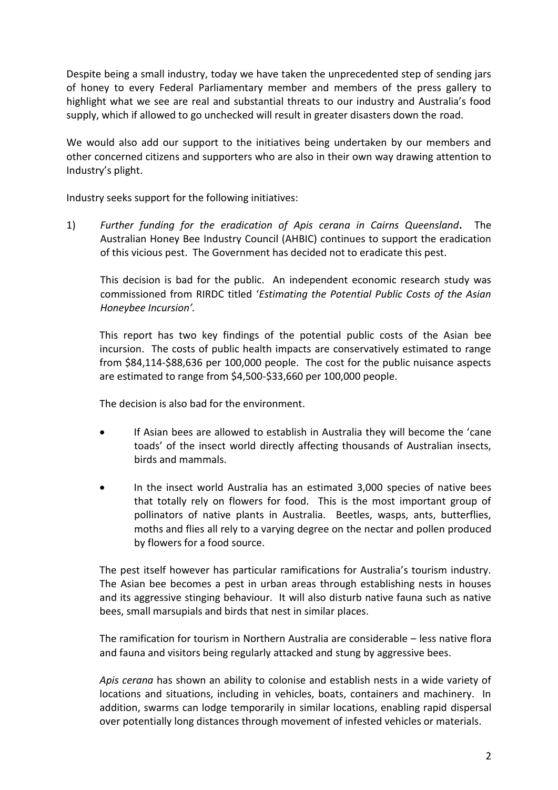Despite being a small industry, today we have taken the unprecedented step of sending jars of honey to every Federal Parliamentary member and members of the press gallery to highlight what we see are real and substantial threats to our industry and Australia's food supply, which if allowed to go unchecked will result in greater disasters down the road.

We would also add our support to the initiatives being undertaken by our members and other concerned citizens and supporters who are also in their own way drawing attention to Industry's plight.

Industry seeks support for the following initiatives:

1) *Further funding for the eradication of Apis cerana in Cairns Queensland***.** The Australian Honey Bee Industry Council (AHBIC) continues to support the eradication of this vicious pest. The Government has decided not to eradicate this pest.

This decision is bad for the public. An independent economic research study was commissioned from RIRDC titled '*Estimating the Potential Public Costs of the Asian Honeybee Incursion'.*

This report has two key findings of the potential public costs of the Asian bee incursion. The costs of public health impacts are conservatively estimated to range from \$84,114-\$88,636 per 100,000 people. The cost for the public nuisance aspects are estimated to range from \$4,500-\$33,660 per 100,000 people.

The decision is also bad for the environment.

- If Asian bees are allowed to establish in Australia they will become the 'cane toads' of the insect world directly affecting thousands of Australian insects, birds and mammals.
- In the insect world Australia has an estimated 3,000 species of native bees that totally rely on flowers for food. This is the most important group of pollinators of native plants in Australia. Beetles, wasps, ants, butterflies, moths and flies all rely to a varying degree on the nectar and pollen produced by flowers for a food source.

The pest itself however has particular ramifications for Australia's tourism industry. The Asian bee becomes a pest in urban areas through establishing nests in houses and its aggressive stinging behaviour. It will also disturb native fauna such as native bees, small marsupials and birds that nest in similar places.

The ramification for tourism in Northern Australia are considerable – less native flora and fauna and visitors being regularly attacked and stung by aggressive bees.

*Apis cerana* has shown an ability to colonise and establish nests in a wide variety of locations and situations, including in vehicles, boats, containers and machinery. In addition, swarms can lodge temporarily in similar locations, enabling rapid dispersal over potentially long distances through movement of infested vehicles or materials.